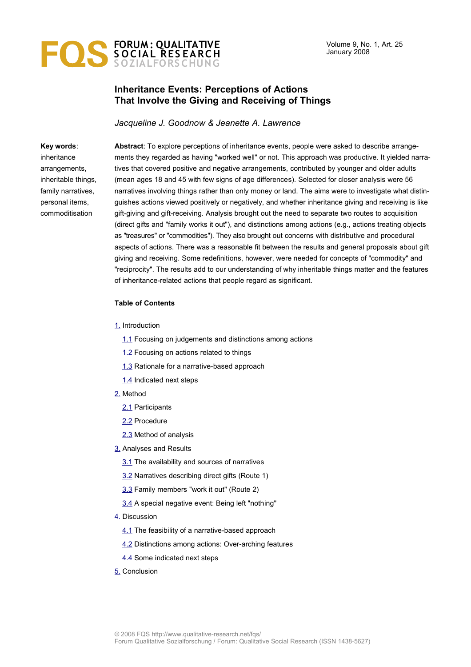

## **Inheritance Events: Perceptions of Actions That Involve the Giving and Receiving of Things**

*Jacqueline J. Goodnow & Jeanette A. Lawrence*

#### **Key words**:

inheritance arrangements, inheritable things, family narratives, personal items, commoditisation

**Abstract**: To explore perceptions of inheritance events, people were asked to describe arrangements they regarded as having "worked well" or not. This approach was productive. It yielded narratives that covered positive and negative arrangements, contributed by younger and older adults (mean ages 18 and 45 with few signs of age differences). Selected for closer analysis were 56 narratives involving things rather than only money or land. The aims were to investigate what distinguishes actions viewed positively or negatively, and whether inheritance giving and receiving is like gift-giving and gift-receiving. Analysis brought out the need to separate two routes to acquisition (direct gifts and "family works it out"), and distinctions among actions (e.g., actions treating objects as "treasures" or "commodities"). They also brought out concerns with distributive and procedural aspects of actions. There was a reasonable fit between the results and general proposals about gift giving and receiving. Some redefinitions, however, were needed for concepts of "commodity" and "reciprocity". The results add to our understanding of why inheritable things matter and the features of inheritance-related actions that people regard as significant.

#### **Table of Contents**

#### [1.](#page-1-0) Introduction

- [1.1](#page-1-1) Focusing on judgements and distinctions among actions
- [1.2](#page-2-0) Focusing on actions related to things
- [1.3](#page-3-0) Rationale for a narrative-based approach
- [1.4](#page-5-2) Indicated next steps
- [2.](#page-5-1) Method
	- [2.1](#page-5-0) Participants
	- [2.2](#page-6-0) Procedure
	- [2.3](#page-7-2) Method of analysis
- [3.](#page-7-1) Analyses and Results
	- [3.1](#page-7-0) The availability and sources of narratives
	- [3.2](#page-8-0) Narratives describing direct gifts (Route 1)
	- [3.3](#page-11-0) Family members "work it out" (Route 2)
	- [3.4](#page-15-0) A special negative event: Being left "nothing"
- [4.](#page-16-2) Discussion
	- [4.1](#page-16-1) The feasibility of a narrative-based approach
	- [4.2](#page-16-0) Distinctions among actions: Over-arching features
	- [4.4](#page-18-0) Some indicated next steps
- [5.](#page-20-0) Conclusion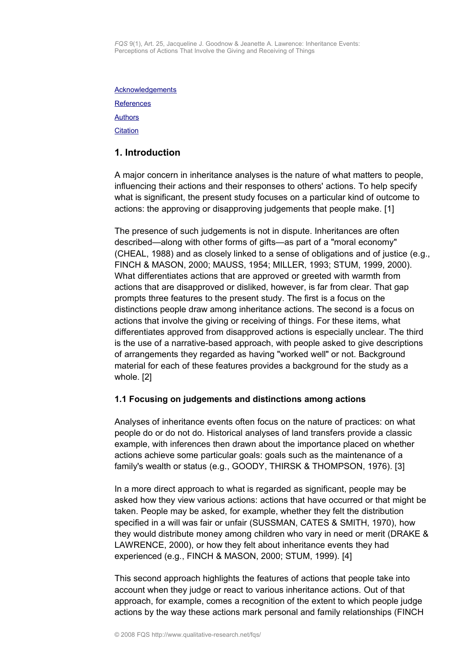*FQS* 9(1), Art. 25, Jacqueline J. Goodnow & Jeanette A. Lawrence: Inheritance Events: Perceptions of Actions That Involve the Giving and Receiving of Things

<span id="page-1-2"></span>**[Acknowledgements](#page-1-2)** 

**[References](#page-21-0)** 

**[Authors](#page-23-1)** 

**[Citation](#page-23-0)** 

# <span id="page-1-0"></span>**1. Introduction**

A major concern in inheritance analyses is the nature of what matters to people, influencing their actions and their responses to others' actions. To help specify what is significant, the present study focuses on a particular kind of outcome to actions: the approving or disapproving judgements that people make. [1]

The presence of such judgements is not in dispute. Inheritances are often described—along with other forms of gifts—as part of a "moral economy" (CHEAL, 1988) and as closely linked to a sense of obligations and of justice (e.g., FINCH & MASON, 2000; MAUSS, 1954; MILLER, 1993; STUM, 1999, 2000). What differentiates actions that are approved or greeted with warmth from actions that are disapproved or disliked, however, is far from clear. That gap prompts three features to the present study. The first is a focus on the distinctions people draw among inheritance actions. The second is a focus on actions that involve the giving or receiving of things. For these items, what differentiates approved from disapproved actions is especially unclear. The third is the use of a narrative-based approach, with people asked to give descriptions of arrangements they regarded as having "worked well" or not. Background material for each of these features provides a background for the study as a whole. [2]

## <span id="page-1-1"></span>**1.1 Focusing on judgements and distinctions among actions**

Analyses of inheritance events often focus on the nature of practices: on what people do or do not do. Historical analyses of land transfers provide a classic example, with inferences then drawn about the importance placed on whether actions achieve some particular goals: goals such as the maintenance of a family's wealth or status (e.g., GOODY, THIRSK & THOMPSON, 1976). [3]

In a more direct approach to what is regarded as significant, people may be asked how they view various actions: actions that have occurred or that might be taken. People may be asked, for example, whether they felt the distribution specified in a will was fair or unfair (SUSSMAN, CATES & SMITH, 1970), how they would distribute money among children who vary in need or merit (DRAKE & LAWRENCE, 2000), or how they felt about inheritance events they had experienced (e.g., FINCH & MASON, 2000; STUM, 1999). [4]

This second approach highlights the features of actions that people take into account when they judge or react to various inheritance actions. Out of that approach, for example, comes a recognition of the extent to which people judge actions by the way these actions mark personal and family relationships (FINCH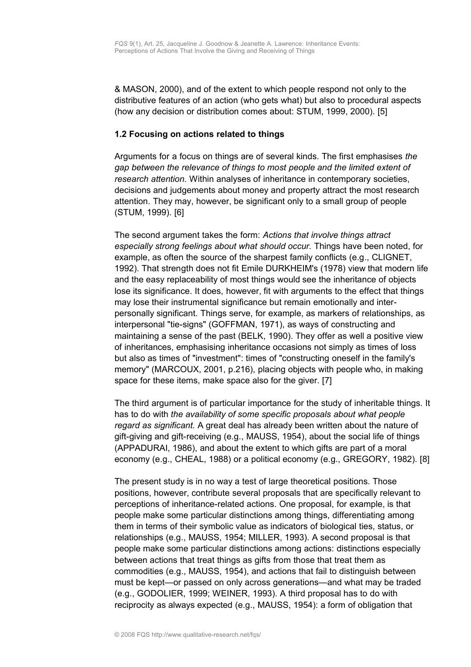& MASON, 2000), and of the extent to which people respond not only to the distributive features of an action (who gets what) but also to procedural aspects (how any decision or distribution comes about: STUM, 1999, 2000). [5]

#### <span id="page-2-0"></span>**1.2 Focusing on actions related to things**

Arguments for a focus on things are of several kinds. The first emphasises *the gap between the relevance of things to most people and the limited extent of research attention.* Within analyses of inheritance in contemporary societies, decisions and judgements about money and property attract the most research attention. They may, however, be significant only to a small group of people (STUM, 1999). [6]

The second argument takes the form: *Actions that involve things attract especially strong feelings about what should occur.* Things have been noted, for example, as often the source of the sharpest family conflicts (e.g., CLIGNET, 1992). That strength does not fit Emile DURKHEIM's (1978) view that modern life and the easy replaceability of most things would see the inheritance of objects lose its significance. It does, however, fit with arguments to the effect that things may lose their instrumental significance but remain emotionally and interpersonally significant. Things serve, for example, as markers of relationships, as interpersonal "tie-signs" (GOFFMAN, 1971), as ways of constructing and maintaining a sense of the past (BELK, 1990). They offer as well a positive view of inheritances, emphasising inheritance occasions not simply as times of loss but also as times of "investment": times of "constructing oneself in the family's memory" (MARCOUX, 2001, p.216), placing objects with people who, in making space for these items, make space also for the giver. [7]

The third argument is of particular importance for the study of inheritable things. It has to do with *the availability of some specific proposals about what people regard as significant.* A great deal has already been written about the nature of gift-giving and gift-receiving (e.g., MAUSS, 1954), about the social life of things (APPADURAI, 1986), and about the extent to which gifts are part of a moral economy (e.g., CHEAL, 1988) or a political economy (e.g., GREGORY, 1982). [8]

The present study is in no way a test of large theoretical positions. Those positions, however, contribute several proposals that are specifically relevant to perceptions of inheritance-related actions. One proposal, for example, is that people make some particular distinctions among things, differentiating among them in terms of their symbolic value as indicators of biological ties, status, or relationships (e.g., MAUSS, 1954; MILLER, 1993). A second proposal is that people make some particular distinctions among actions: distinctions especially between actions that treat things as gifts from those that treat them as commodities (e.g., MAUSS, 1954), and actions that fail to distinguish between must be kept—or passed on only across generations—and what may be traded (e.g., GODOLIER, 1999; WEINER, 1993). A third proposal has to do with reciprocity as always expected (e.g., MAUSS, 1954): a form of obligation that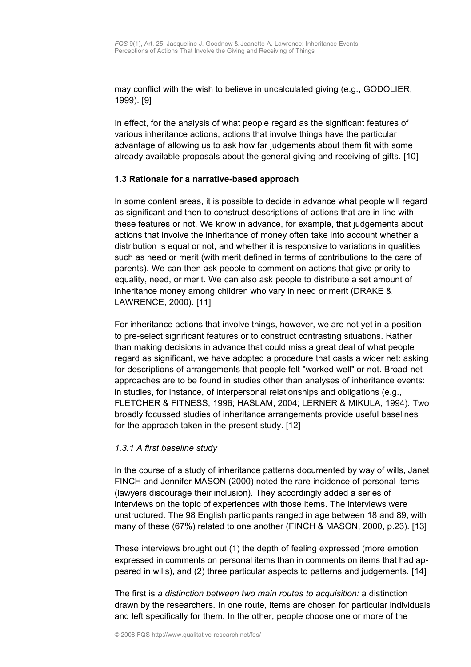may conflict with the wish to believe in uncalculated giving (e.g., GODOLIER, 1999). [9]

In effect, for the analysis of what people regard as the significant features of various inheritance actions, actions that involve things have the particular advantage of allowing us to ask how far judgements about them fit with some already available proposals about the general giving and receiving of gifts. [10]

### <span id="page-3-0"></span>**1.3 Rationale for a narrative-based approach**

In some content areas, it is possible to decide in advance what people will regard as significant and then to construct descriptions of actions that are in line with these features or not. We know in advance, for example, that judgements about actions that involve the inheritance of money often take into account whether a distribution is equal or not, and whether it is responsive to variations in qualities such as need or merit (with merit defined in terms of contributions to the care of parents). We can then ask people to comment on actions that give priority to equality, need, or merit. We can also ask people to distribute a set amount of inheritance money among children who vary in need or merit (DRAKE & LAWRENCE, 2000). [11]

For inheritance actions that involve things, however, we are not yet in a position to pre-select significant features or to construct contrasting situations. Rather than making decisions in advance that could miss a great deal of what people regard as significant, we have adopted a procedure that casts a wider net: asking for descriptions of arrangements that people felt "worked well" or not. Broad-net approaches are to be found in studies other than analyses of inheritance events: in studies, for instance, of interpersonal relationships and obligations (e.g., FLETCHER & FITNESS, 1996; HASLAM, 2004; LERNER & MIKULA, 1994). Two broadly focussed studies of inheritance arrangements provide useful baselines for the approach taken in the present study. [12]

#### *1.3.1 A first baseline study*

In the course of a study of inheritance patterns documented by way of wills, Janet FINCH and Jennifer MASON (2000) noted the rare incidence of personal items (lawyers discourage their inclusion). They accordingly added a series of interviews on the topic of experiences with those items. The interviews were unstructured. The 98 English participants ranged in age between 18 and 89, with many of these (67%) related to one another (FINCH & MASON, 2000, p.23). [13]

These interviews brought out (1) the depth of feeling expressed (more emotion expressed in comments on personal items than in comments on items that had appeared in wills), and (2) three particular aspects to patterns and judgements. [14]

The first is *a distinction between two main routes to acquisition:* a distinction drawn by the researchers. In one route, items are chosen for particular individuals and left specifically for them. In the other, people choose one or more of the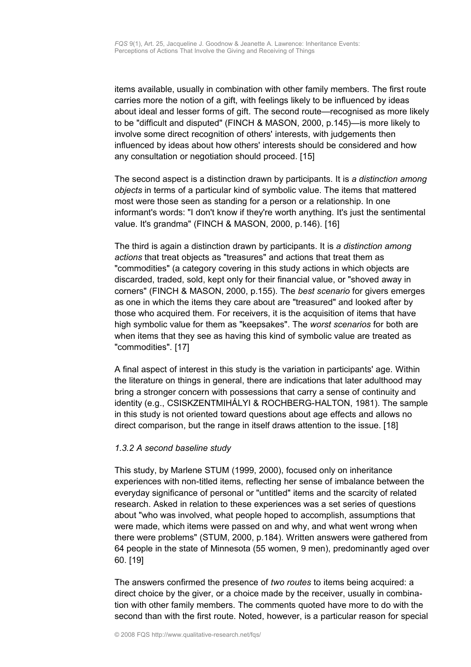items available, usually in combination with other family members. The first route carries more the notion of a gift, with feelings likely to be influenced by ideas about ideal and lesser forms of gift. The second route—recognised as more likely to be "difficult and disputed" (FINCH & MASON, 2000, p.145)—is more likely to involve some direct recognition of others' interests, with judgements then influenced by ideas about how others' interests should be considered and how any consultation or negotiation should proceed. [15]

The second aspect is a distinction drawn by participants. It is *a distinction among objects* in terms of a particular kind of symbolic value. The items that mattered most were those seen as standing for a person or a relationship. In one informant's words: "I don't know if they're worth anything. It's just the sentimental value. It's grandma" (FINCH & MASON, 2000, p.146). [16]

The third is again a distinction drawn by participants. It is *a distinction among actions* that treat objects as "treasures" and actions that treat them as "commodities" (a category covering in this study actions in which objects are discarded, traded, sold, kept only for their financial value, or "shoved away in corners" (FINCH & MASON, 2000, p.155)*.* The *best scenario* for givers emerges as one in which the items they care about are "treasured" and looked after by those who acquired them. For receivers, it is the acquisition of items that have high symbolic value for them as "keepsakes". The *worst scenarios* for both are when items that they see as having this kind of symbolic value are treated as "commodities". [17]

A final aspect of interest in this study is the variation in participants' age. Within the literature on things in general, there are indications that later adulthood may bring a stronger concern with possessions that carry a sense of continuity and identity (e.g., CSISKZENTMIHÁLYI & ROCHBERG-HALTON, 1981). The sample in this study is not oriented toward questions about age effects and allows no direct comparison, but the range in itself draws attention to the issue. [18]

#### *1.3.2 A second baseline study*

This study, by Marlene STUM (1999, 2000), focused only on inheritance experiences with non-titled items, reflecting her sense of imbalance between the everyday significance of personal or "untitled" items and the scarcity of related research. Asked in relation to these experiences was a set series of questions about "who was involved, what people hoped to accomplish, assumptions that were made, which items were passed on and why, and what went wrong when there were problems" (STUM, 2000, p.184). Written answers were gathered from 64 people in the state of Minnesota (55 women, 9 men), predominantly aged over 60. [19]

The answers confirmed the presence of *two routes* to items being acquired: a direct choice by the giver, or a choice made by the receiver, usually in combination with other family members. The comments quoted have more to do with the second than with the first route. Noted, however, is a particular reason for special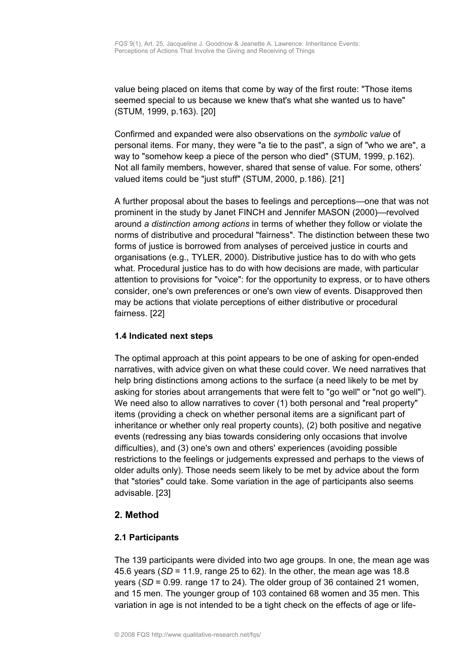value being placed on items that come by way of the first route: "Those items seemed special to us because we knew that's what she wanted us to have" (STUM, 1999, p.163). [20]

Confirmed and expanded were also observations on the *symbolic value* of personal items. For many, they were "a tie to the past", a sign of "who we are", a way to "somehow keep a piece of the person who died" (STUM, 1999, p.162). Not all family members, however, shared that sense of value. For some, others' valued items could be "just stuff" (STUM, 2000, p.186). [21]

A further proposal about the bases to feelings and perceptions—one that was not prominent in the study by Janet FINCH and Jennifer MASON (2000)—revolved around *a distinction among actions* in terms of whether they follow or violate the norms of distributive and procedural "fairness". The distinction between these two forms of justice is borrowed from analyses of perceived justice in courts and organisations (e.g., TYLER, 2000). Distributive justice has to do with who gets what. Procedural justice has to do with how decisions are made, with particular attention to provisions for "voice": for the opportunity to express, or to have others consider, one's own preferences or one's own view of events. Disapproved then may be actions that violate perceptions of either distributive or procedural fairness. [22]

## <span id="page-5-2"></span>**1.4 Indicated next steps**

The optimal approach at this point appears to be one of asking for open-ended narratives, with advice given on what these could cover. We need narratives that help bring distinctions among actions to the surface (a need likely to be met by asking for stories about arrangements that were felt to "go well" or "not go well"). We need also to allow narratives to cover (1) both personal and "real property" items (providing a check on whether personal items are a significant part of inheritance or whether only real property counts), (2) both positive and negative events (redressing any bias towards considering only occasions that involve difficulties), and (3) one's own and others' experiences (avoiding possible restrictions to the feelings or judgements expressed and perhaps to the views of older adults only). Those needs seem likely to be met by advice about the form that "stories" could take. Some variation in the age of participants also seems advisable. [23]

# <span id="page-5-1"></span>**2. Method**

## <span id="page-5-0"></span>**2.1 Participants**

The 139 participants were divided into two age groups. In one, the mean age was 45.6 years (*SD* = 11.9, range 25 to 62). In the other, the mean age was 18.8 years (*SD* = 0.99. range 17 to 24). The older group of 36 contained 21 women, and 15 men. The younger group of 103 contained 68 women and 35 men. This variation in age is not intended to be a tight check on the effects of age or life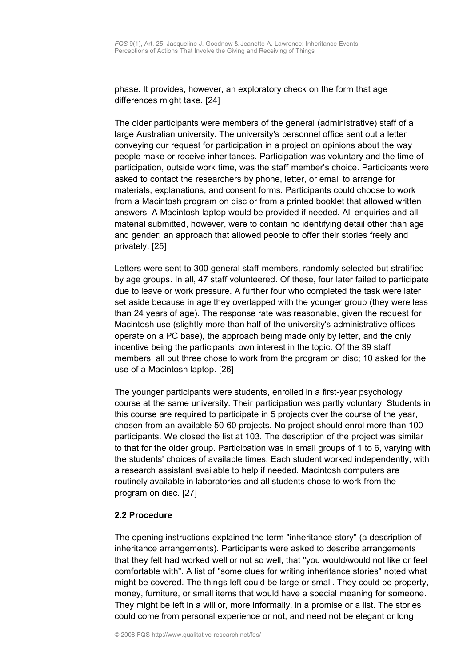phase. It provides, however, an exploratory check on the form that age differences might take. [24]

The older participants were members of the general (administrative) staff of a large Australian university. The university's personnel office sent out a letter conveying our request for participation in a project on opinions about the way people make or receive inheritances. Participation was voluntary and the time of participation, outside work time, was the staff member's choice. Participants were asked to contact the researchers by phone, letter, or email to arrange for materials, explanations, and consent forms. Participants could choose to work from a Macintosh program on disc or from a printed booklet that allowed written answers. A Macintosh laptop would be provided if needed. All enquiries and all material submitted, however, were to contain no identifying detail other than age and gender: an approach that allowed people to offer their stories freely and privately. [25]

Letters were sent to 300 general staff members, randomly selected but stratified by age groups. In all, 47 staff volunteered. Of these, four later failed to participate due to leave or work pressure. A further four who completed the task were later set aside because in age they overlapped with the younger group (they were less than 24 years of age). The response rate was reasonable, given the request for Macintosh use (slightly more than half of the university's administrative offices operate on a PC base), the approach being made only by letter, and the only incentive being the participants' own interest in the topic. Of the 39 staff members, all but three chose to work from the program on disc; 10 asked for the use of a Macintosh laptop. [26]

The younger participants were students, enrolled in a first-year psychology course at the same university. Their participation was partly voluntary. Students in this course are required to participate in 5 projects over the course of the year, chosen from an available 50-60 projects. No project should enrol more than 100 participants. We closed the list at 103. The description of the project was similar to that for the older group. Participation was in small groups of 1 to 6, varying with the students' choices of available times. Each student worked independently, with a research assistant available to help if needed. Macintosh computers are routinely available in laboratories and all students chose to work from the program on disc. [27]

#### <span id="page-6-0"></span>**2.2 Procedure**

The opening instructions explained the term "inheritance story" (a description of inheritance arrangements). Participants were asked to describe arrangements that they felt had worked well or not so well, that "you would/would not like or feel comfortable with". A list of "some clues for writing inheritance stories" noted what might be covered. The things left could be large or small. They could be property, money, furniture, or small items that would have a special meaning for someone. They might be left in a will or, more informally, in a promise or a list. The stories could come from personal experience or not, and need not be elegant or long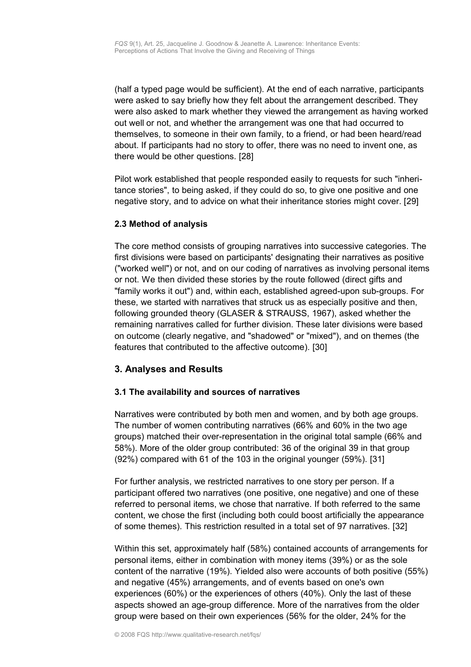(half a typed page would be sufficient). At the end of each narrative, participants were asked to say briefly how they felt about the arrangement described. They were also asked to mark whether they viewed the arrangement as having worked out well or not, and whether the arrangement was one that had occurred to themselves, to someone in their own family, to a friend, or had been heard/read about. If participants had no story to offer, there was no need to invent one, as there would be other questions. [28]

Pilot work established that people responded easily to requests for such "inheritance stories", to being asked, if they could do so, to give one positive and one negative story, and to advice on what their inheritance stories might cover. [29]

### <span id="page-7-2"></span>**2.3 Method of analysis**

The core method consists of grouping narratives into successive categories. The first divisions were based on participants' designating their narratives as positive ("worked well") or not, and on our coding of narratives as involving personal items or not. We then divided these stories by the route followed (direct gifts and "family works it out") and, within each, established agreed-upon sub-groups. For these, we started with narratives that struck us as especially positive and then, following grounded theory (GLASER & STRAUSS, 1967), asked whether the remaining narratives called for further division. These later divisions were based on outcome (clearly negative, and "shadowed" or "mixed"), and on themes (the features that contributed to the affective outcome). [30]

## <span id="page-7-1"></span>**3. Analyses and Results**

## <span id="page-7-0"></span>**3.1 The availability and sources of narratives**

Narratives were contributed by both men and women, and by both age groups. The number of women contributing narratives (66% and 60% in the two age groups) matched their over-representation in the original total sample (66% and 58%). More of the older group contributed: 36 of the original 39 in that group (92%) compared with 61 of the 103 in the original younger (59%). [31]

For further analysis, we restricted narratives to one story per person. If a participant offered two narratives (one positive, one negative) and one of these referred to personal items, we chose that narrative. If both referred to the same content, we chose the first (including both could boost artificially the appearance of some themes). This restriction resulted in a total set of 97 narratives. [32]

Within this set, approximately half (58%) contained accounts of arrangements for personal items, either in combination with money items (39%) or as the sole content of the narrative (19%). Yielded also were accounts of both positive (55%) and negative (45%) arrangements, and of events based on one's own experiences (60%) or the experiences of others (40%). Only the last of these aspects showed an age-group difference. More of the narratives from the older group were based on their own experiences (56% for the older, 24% for the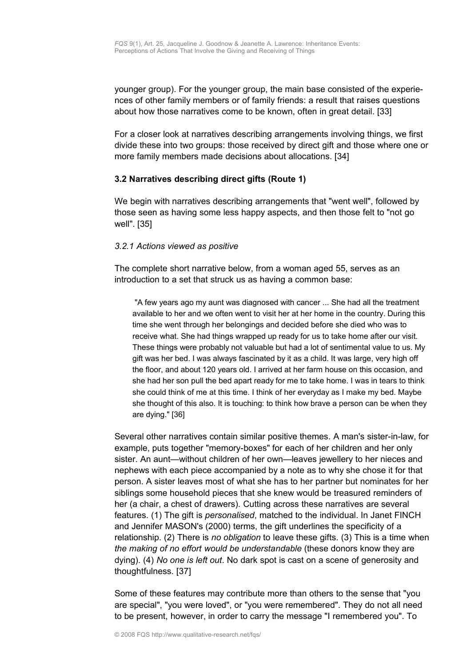younger group). For the younger group, the main base consisted of the experiences of other family members or of family friends: a result that raises questions about how those narratives come to be known, often in great detail. [33]

For a closer look at narratives describing arrangements involving things, we first divide these into two groups: those received by direct gift and those where one or more family members made decisions about allocations. [34]

### <span id="page-8-0"></span>**3.2 Narratives describing direct gifts (Route 1)**

We begin with narratives describing arrangements that "went well", followed by those seen as having some less happy aspects, and then those felt to "not go well". [35]

### *3.2.1 Actions viewed as positive*

The complete short narrative below, from a woman aged 55, serves as an introduction to a set that struck us as having a common base:

"A few years ago my aunt was diagnosed with cancer ... She had all the treatment available to her and we often went to visit her at her home in the country. During this time she went through her belongings and decided before she died who was to receive what. She had things wrapped up ready for us to take home after our visit. These things were probably not valuable but had a lot of sentimental value to us. My gift was her bed. I was always fascinated by it as a child. It was large, very high off the floor, and about 120 years old. I arrived at her farm house on this occasion, and she had her son pull the bed apart ready for me to take home. I was in tears to think she could think of me at this time. I think of her everyday as I make my bed. Maybe she thought of this also. It is touching: to think how brave a person can be when they are dying." [36]

Several other narratives contain similar positive themes. A man's sister-in-law, for example, puts together "memory-boxes" for each of her children and her only sister. An aunt—without children of her own—leaves jewellery to her nieces and nephews with each piece accompanied by a note as to why she chose it for that person. A sister leaves most of what she has to her partner but nominates for her siblings some household pieces that she knew would be treasured reminders of her (a chair, a chest of drawers). Cutting across these narratives are several features. (1) The gift is *personalised*, matched to the individual. In Janet FINCH and Jennifer MASON's (2000) terms, the gift underlines the specificity of a relationship. (2) There is *no obligation* to leave these gifts. (3) This is a time when *the making of no effort would be understandable* (these donors know they are dying). (4) *No one is left out*. No dark spot is cast on a scene of generosity and thoughtfulness. [37]

Some of these features may contribute more than others to the sense that "you are special", "you were loved", or "you were remembered". They do not all need to be present, however, in order to carry the message "I remembered you". To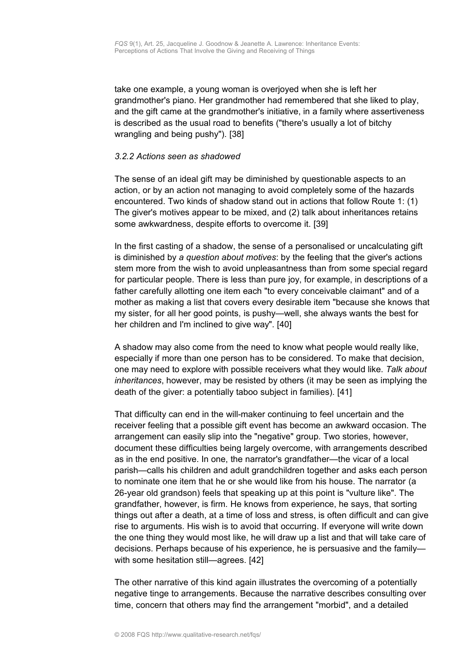take one example, a young woman is overjoyed when she is left her grandmother's piano. Her grandmother had remembered that she liked to play, and the gift came at the grandmother's initiative, in a family where assertiveness is described as the usual road to benefits ("there's usually a lot of bitchy wrangling and being pushy"). [38]

#### *3.2.2 Actions seen as shadowed*

The sense of an ideal gift may be diminished by questionable aspects to an action, or by an action not managing to avoid completely some of the hazards encountered. Two kinds of shadow stand out in actions that follow Route 1: (1) The giver's motives appear to be mixed, and (2) talk about inheritances retains some awkwardness, despite efforts to overcome it. [39]

In the first casting of a shadow, the sense of a personalised or uncalculating gift is diminished by *a question about motives*: by the feeling that the giver's actions stem more from the wish to avoid unpleasantness than from some special regard for particular people. There is less than pure joy, for example, in descriptions of a father carefully allotting one item each "to every conceivable claimant" and of a mother as making a list that covers every desirable item "because she knows that my sister, for all her good points, is pushy—well, she always wants the best for her children and I'm inclined to give way". [40]

A shadow may also come from the need to know what people would really like, especially if more than one person has to be considered. To make that decision, one may need to explore with possible receivers what they would like. *Talk about inheritances*, however, may be resisted by others (it may be seen as implying the death of the giver: a potentially taboo subject in families). [41]

That difficulty can end in the will-maker continuing to feel uncertain and the receiver feeling that a possible gift event has become an awkward occasion. The arrangement can easily slip into the "negative" group. Two stories, however, document these difficulties being largely overcome, with arrangements described as in the end positive. In one, the narrator's grandfather—the vicar of a local parish—calls his children and adult grandchildren together and asks each person to nominate one item that he or she would like from his house. The narrator (a 26-year old grandson) feels that speaking up at this point is "vulture like". The grandfather, however, is firm. He knows from experience, he says, that sorting things out after a death, at a time of loss and stress, is often difficult and can give rise to arguments. His wish is to avoid that occurring. If everyone will write down the one thing they would most like, he will draw up a list and that will take care of decisions. Perhaps because of his experience, he is persuasive and the family with some hesitation still—agrees. [42]

The other narrative of this kind again illustrates the overcoming of a potentially negative tinge to arrangements. Because the narrative describes consulting over time, concern that others may find the arrangement "morbid", and a detailed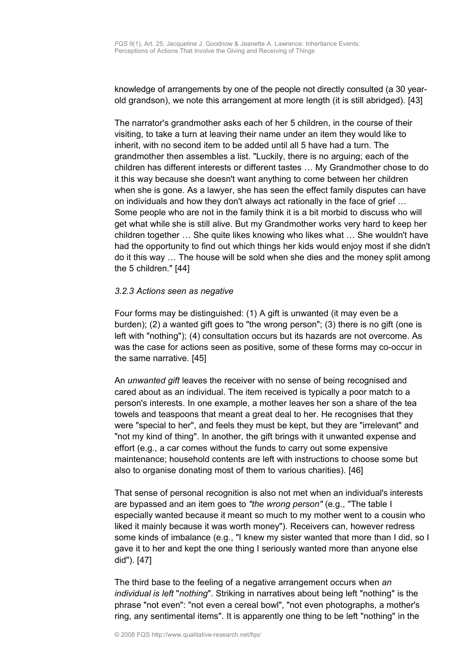knowledge of arrangements by one of the people not directly consulted (a 30 yearold grandson), we note this arrangement at more length (it is still abridged). [43]

The narrator's grandmother asks each of her 5 children, in the course of their visiting, to take a turn at leaving their name under an item they would like to inherit, with no second item to be added until all 5 have had a turn. The grandmother then assembles a list. "Luckily, there is no arguing; each of the children has different interests or different tastes … My Grandmother chose to do it this way because she doesn't want anything to come between her children when she is gone. As a lawyer, she has seen the effect family disputes can have on individuals and how they don't always act rationally in the face of grief … Some people who are not in the family think it is a bit morbid to discuss who will get what while she is still alive. But my Grandmother works very hard to keep her children together … She quite likes knowing who likes what … She wouldn't have had the opportunity to find out which things her kids would enjoy most if she didn't do it this way … The house will be sold when she dies and the money split among the 5 children." [44]

#### *3.2.3 Actions seen as negative*

Four forms may be distinguished: (1) A gift is unwanted (it may even be a burden); (2) a wanted gift goes to "the wrong person"; (3) there is no gift (one is left with "nothing"); (4) consultation occurs but its hazards are not overcome. As was the case for actions seen as positive, some of these forms may co-occur in the same narrative. [45]

An *unwanted gift* leaves the receiver with no sense of being recognised and cared about as an individual. The item received is typically a poor match to a person's interests. In one example, a mother leaves her son a share of the tea towels and teaspoons that meant a great deal to her. He recognises that they were "special to her", and feels they must be kept, but they are "irrelevant" and "not my kind of thing". In another, the gift brings with it unwanted expense and effort (e.g., a car comes without the funds to carry out some expensive maintenance; household contents are left with instructions to choose some but also to organise donating most of them to various charities). [46]

That sense of personal recognition is also not met when an individual's interests are bypassed and an item goes to *"the wrong person"* (e.g., "The table I especially wanted because it meant so much to my mother went to a cousin who liked it mainly because it was worth money"). Receivers can, however redress some kinds of imbalance (e.g., "I knew my sister wanted that more than I did, so I gave it to her and kept the one thing I seriously wanted more than anyone else did"). [47]

The third base to the feeling of a negative arrangement occurs when *an individual is left* "*nothing*"*.* Striking in narratives about being left "nothing" is the phrase "not even": "not even a cereal bowl", "not even photographs, a mother's ring, any sentimental items". It is apparently one thing to be left "nothing" in the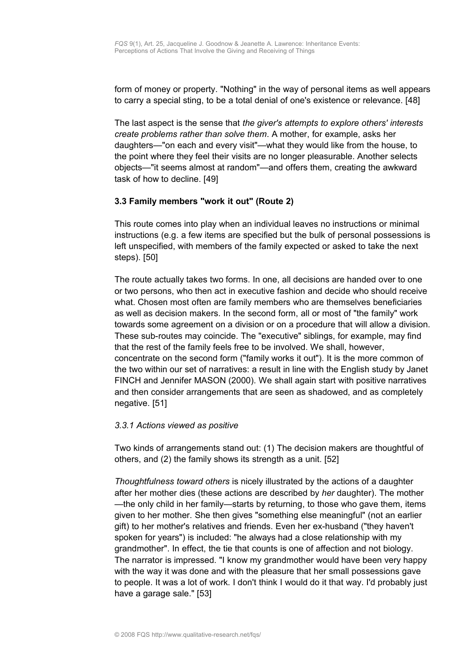form of money or property. "Nothing" in the way of personal items as well appears to carry a special sting, to be a total denial of one's existence or relevance. [48]

The last aspect is the sense that *the giver's attempts to explore others' interests create problems rather than solve them*. A mother, for example, asks her daughters—"on each and every visit"—what they would like from the house, to the point where they feel their visits are no longer pleasurable. Another selects objects—"it seems almost at random"—and offers them, creating the awkward task of how to decline. [49]

### <span id="page-11-0"></span>**3.3 Family members "work it out" (Route 2)**

This route comes into play when an individual leaves no instructions or minimal instructions (e.g. a few items are specified but the bulk of personal possessions is left unspecified, with members of the family expected or asked to take the next steps). [50]

The route actually takes two forms. In one, all decisions are handed over to one or two persons, who then act in executive fashion and decide who should receive what. Chosen most often are family members who are themselves beneficiaries as well as decision makers. In the second form, all or most of "the family" work towards some agreement on a division or on a procedure that will allow a division. These sub-routes may coincide. The "executive" siblings, for example, may find that the rest of the family feels free to be involved. We shall, however, concentrate on the second form ("family works it out"). It is the more common of the two within our set of narratives: a result in line with the English study by Janet FINCH and Jennifer MASON (2000). We shall again start with positive narratives and then consider arrangements that are seen as shadowed, and as completely negative. [51]

#### *3.3.1 Actions viewed as positive*

Two kinds of arrangements stand out: (1) The decision makers are thoughtful of others, and (2) the family shows its strength as a unit. [52]

*Thoughtfulness toward others* is nicely illustrated by the actions of a daughter after her mother dies (these actions are described by *her* daughter). The mother —the only child in her family—starts by returning, to those who gave them, items given to her mother. She then gives "something else meaningful" (not an earlier gift) to her mother's relatives and friends. Even her ex-husband ("they haven't spoken for years") is included: "he always had a close relationship with my grandmother". In effect, the tie that counts is one of affection and not biology. The narrator is impressed. "I know my grandmother would have been very happy with the way it was done and with the pleasure that her small possessions gave to people. It was a lot of work. I don't think I would do it that way. I'd probably just have a garage sale." [53]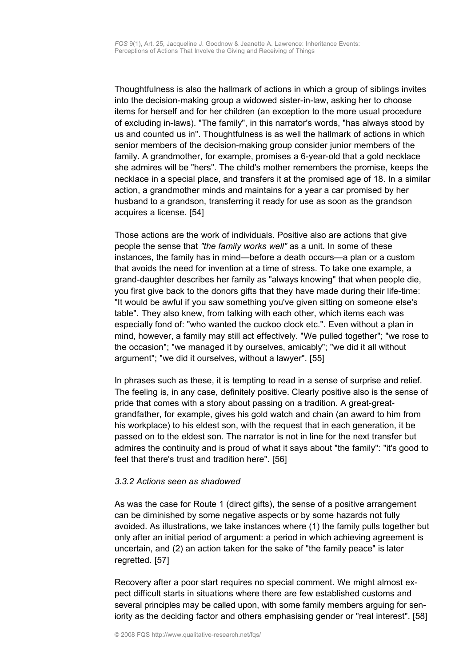Thoughtfulness is also the hallmark of actions in which a group of siblings invites into the decision-making group a widowed sister-in-law, asking her to choose items for herself and for her children (an exception to the more usual procedure of excluding in-laws). "The family", in this narrator's words, "has always stood by us and counted us in". Thoughtfulness is as well the hallmark of actions in which senior members of the decision-making group consider junior members of the family. A grandmother, for example, promises a 6-year-old that a gold necklace she admires will be "hers". The child's mother remembers the promise, keeps the necklace in a special place, and transfers it at the promised age of 18. In a similar action, a grandmother minds and maintains for a year a car promised by her husband to a grandson, transferring it ready for use as soon as the grandson acquires a license. [54]

Those actions are the work of individuals. Positive also are actions that give people the sense that *"the family works well"* as a unit. In some of these instances, the family has in mind—before a death occurs—a plan or a custom that avoids the need for invention at a time of stress. To take one example, a grand-daughter describes her family as "always knowing" that when people die, you first give back to the donors gifts that they have made during their life-time: "It would be awful if you saw something you've given sitting on someone else's table". They also knew, from talking with each other, which items each was especially fond of: "who wanted the cuckoo clock etc.". Even without a plan in mind, however, a family may still act effectively. "We pulled together"; "we rose to the occasion"; "we managed it by ourselves, amicably"; "we did it all without argument"; "we did it ourselves, without a lawyer". [55]

In phrases such as these, it is tempting to read in a sense of surprise and relief. The feeling is, in any case, definitely positive. Clearly positive also is the sense of pride that comes with a story about passing on a tradition. A great-greatgrandfather, for example, gives his gold watch and chain (an award to him from his workplace) to his eldest son, with the request that in each generation, it be passed on to the eldest son. The narrator is not in line for the next transfer but admires the continuity and is proud of what it says about "the family": "it's good to feel that there's trust and tradition here". [56]

#### *3.3.2 Actions seen as shadowed*

As was the case for Route 1 (direct gifts), the sense of a positive arrangement can be diminished by some negative aspects or by some hazards not fully avoided. As illustrations, we take instances where (1) the family pulls together but only after an initial period of argument: a period in which achieving agreement is uncertain, and (2) an action taken for the sake of "the family peace" is later regretted. [57]

Recovery after a poor start requires no special comment. We might almost expect difficult starts in situations where there are few established customs and several principles may be called upon, with some family members arguing for seniority as the deciding factor and others emphasising gender or "real interest". [58]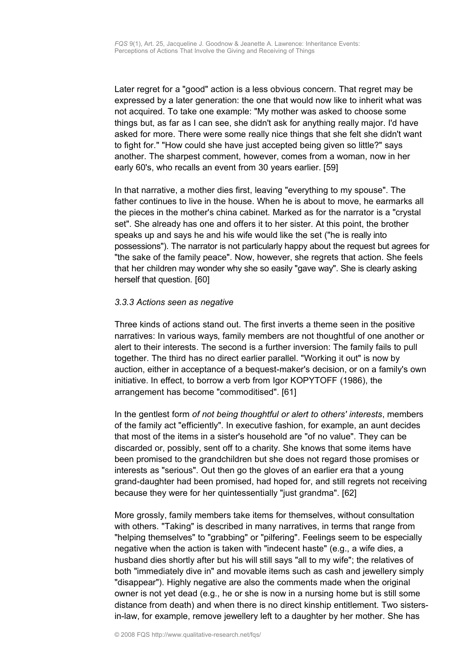Later regret for a "good" action is a less obvious concern. That regret may be expressed by a later generation: the one that would now like to inherit what was not acquired. To take one example: "My mother was asked to choose some things but, as far as I can see, she didn't ask for anything really major. I'd have asked for more. There were some really nice things that she felt she didn't want to fight for." "How could she have just accepted being given so little?" says another. The sharpest comment, however, comes from a woman, now in her early 60's, who recalls an event from 30 years earlier. [59]

In that narrative, a mother dies first, leaving "everything to my spouse". The father continues to live in the house. When he is about to move, he earmarks all the pieces in the mother's china cabinet. Marked as for the narrator is a "crystal set". She already has one and offers it to her sister. At this point, the brother speaks up and says he and his wife would like the set ("he is really into possessions"). The narrator is not particularly happy about the request but agrees for "the sake of the family peace". Now, however, she regrets that action. She feels that her children may wonder why she so easily "gave way". She is clearly asking herself that question. [60]

### *3.3.3 Actions seen as negative*

Three kinds of actions stand out. The first inverts a theme seen in the positive narratives: In various ways, family members are not thoughtful of one another or alert to their interests. The second is a further inversion: The family fails to pull together. The third has no direct earlier parallel. "Working it out" is now by auction, either in acceptance of a bequest-maker's decision, or on a family's own initiative. In effect, to borrow a verb from Igor KOPYTOFF (1986), the arrangement has become "commoditised". [61]

In the gentlest form *of not being thoughtful or alert to others' interests*, members of the family act "efficiently". In executive fashion, for example, an aunt decides that most of the items in a sister's household are "of no value". They can be discarded or, possibly, sent off to a charity. She knows that some items have been promised to the grandchildren but she does not regard those promises or interests as "serious". Out then go the gloves of an earlier era that a young grand-daughter had been promised, had hoped for, and still regrets not receiving because they were for her quintessentially "just grandma". [62]

More grossly, family members take items for themselves, without consultation with others. "Taking" is described in many narratives, in terms that range from "helping themselves" to "grabbing" or "pilfering". Feelings seem to be especially negative when the action is taken with "indecent haste" (e.g., a wife dies, a husband dies shortly after but his will still says "all to my wife"; the relatives of both "immediately dive in" and movable items such as cash and jewellery simply "disappear"). Highly negative are also the comments made when the original owner is not yet dead (e.g., he or she is now in a nursing home but is still some distance from death) and when there is no direct kinship entitlement. Two sistersin-law, for example, remove jewellery left to a daughter by her mother. She has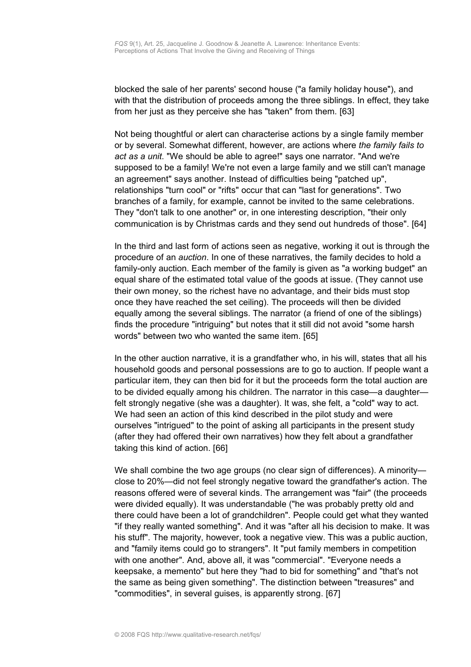blocked the sale of her parents' second house ("a family holiday house"), and with that the distribution of proceeds among the three siblings. In effect, they take from her just as they perceive she has "taken" from them. [63]

Not being thoughtful or alert can characterise actions by a single family member or by several. Somewhat different, however, are actions where *the family fails to act as a unit*. "We should be able to agree!" says one narrator. "And we're supposed to be a family! We're not even a large family and we still can't manage an agreement" says another. Instead of difficulties being "patched up", relationships "turn cool" or "rifts" occur that can "last for generations". Two branches of a family, for example, cannot be invited to the same celebrations. They "don't talk to one another" or, in one interesting description, "their only communication is by Christmas cards and they send out hundreds of those". [64]

In the third and last form of actions seen as negative, working it out is through the procedure of an *auction*. In one of these narratives, the family decides to hold a family-only auction. Each member of the family is given as "a working budget" an equal share of the estimated total value of the goods at issue. (They cannot use their own money, so the richest have no advantage, and their bids must stop once they have reached the set ceiling). The proceeds will then be divided equally among the several siblings. The narrator (a friend of one of the siblings) finds the procedure "intriguing" but notes that it still did not avoid "some harsh words" between two who wanted the same item. [65]

In the other auction narrative, it is a grandfather who, in his will, states that all his household goods and personal possessions are to go to auction. If people want a particular item, they can then bid for it but the proceeds form the total auction are to be divided equally among his children. The narrator in this case—a daughter felt strongly negative (she was a daughter). It was, she felt, a "cold" way to act. We had seen an action of this kind described in the pilot study and were ourselves "intrigued" to the point of asking all participants in the present study (after they had offered their own narratives) how they felt about a grandfather taking this kind of action. [66]

We shall combine the two age groups (no clear sign of differences). A minorityclose to 20%—did not feel strongly negative toward the grandfather's action. The reasons offered were of several kinds. The arrangement was "fair" (the proceeds were divided equally). It was understandable ("he was probably pretty old and there could have been a lot of grandchildren". People could get what they wanted "if they really wanted something". And it was "after all his decision to make. It was his stuff". The majority, however, took a negative view. This was a public auction, and "family items could go to strangers". It "put family members in competition with one another". And, above all, it was "commercial". "Everyone needs a keepsake, a memento" but here they "had to bid for something" and "that's not the same as being given something". The distinction between "treasures" and "commodities", in several guises, is apparently strong. [67]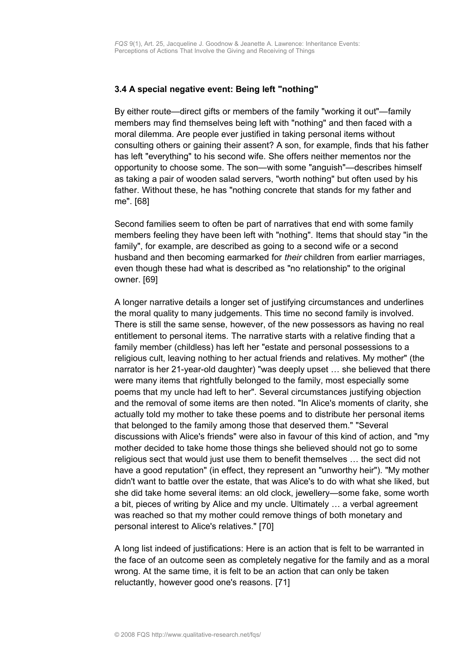#### <span id="page-15-0"></span>**3.4 A special negative event: Being left "nothing"**

By either route—direct gifts or members of the family "working it out"—family members may find themselves being left with "nothing" and then faced with a moral dilemma. Are people ever justified in taking personal items without consulting others or gaining their assent? A son, for example, finds that his father has left "everything" to his second wife. She offers neither mementos nor the opportunity to choose some. The son—with some "anguish"—describes himself as taking a pair of wooden salad servers, "worth nothing" but often used by his father. Without these, he has "nothing concrete that stands for my father and me". [68]

Second families seem to often be part of narratives that end with some family members feeling they have been left with "nothing". Items that should stay "in the family", for example, are described as going to a second wife or a second husband and then becoming earmarked for *their* children from earlier marriages, even though these had what is described as "no relationship" to the original owner. [69]

A longer narrative details a longer set of justifying circumstances and underlines the moral quality to many judgements. This time no second family is involved. There is still the same sense, however, of the new possessors as having no real entitlement to personal items. The narrative starts with a relative finding that a family member (childless) has left her "estate and personal possessions to a religious cult, leaving nothing to her actual friends and relatives. My mother" (the narrator is her 21-year-old daughter) "was deeply upset … she believed that there were many items that rightfully belonged to the family, most especially some poems that my uncle had left to her". Several circumstances justifying objection and the removal of some items are then noted. "In Alice's moments of clarity, she actually told my mother to take these poems and to distribute her personal items that belonged to the family among those that deserved them." "Several discussions with Alice's friends" were also in favour of this kind of action, and "my mother decided to take home those things she believed should not go to some religious sect that would just use them to benefit themselves … the sect did not have a good reputation" (in effect, they represent an "unworthy heir"). "My mother didn't want to battle over the estate, that was Alice's to do with what she liked, but she did take home several items: an old clock, jewellery—some fake, some worth a bit, pieces of writing by Alice and my uncle. Ultimately … a verbal agreement was reached so that my mother could remove things of both monetary and personal interest to Alice's relatives." [70]

A long list indeed of justifications: Here is an action that is felt to be warranted in the face of an outcome seen as completely negative for the family and as a moral wrong. At the same time, it is felt to be an action that can only be taken reluctantly, however good one's reasons. [71]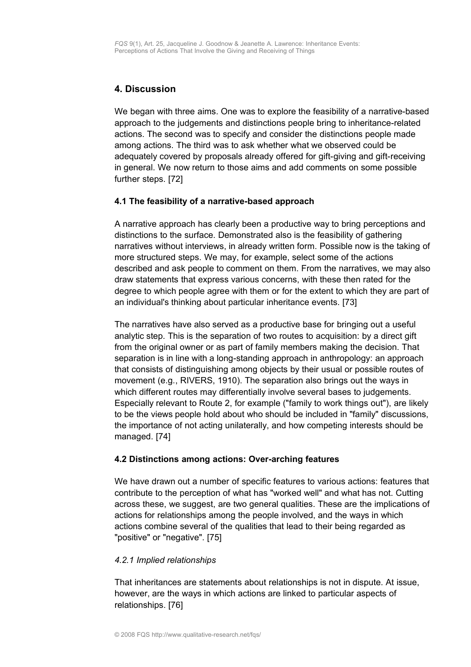# <span id="page-16-2"></span>**4. Discussion**

We began with three aims. One was to explore the feasibility of a narrative-based approach to the judgements and distinctions people bring to inheritance-related actions. The second was to specify and consider the distinctions people made among actions. The third was to ask whether what we observed could be adequately covered by proposals already offered for gift-giving and gift-receiving in general. We now return to those aims and add comments on some possible further steps. [72]

### <span id="page-16-1"></span>**4.1 The feasibility of a narrative-based approach**

A narrative approach has clearly been a productive way to bring perceptions and distinctions to the surface. Demonstrated also is the feasibility of gathering narratives without interviews, in already written form. Possible now is the taking of more structured steps. We may, for example, select some of the actions described and ask people to comment on them. From the narratives, we may also draw statements that express various concerns, with these then rated for the degree to which people agree with them or for the extent to which they are part of an individual's thinking about particular inheritance events. [73]

The narratives have also served as a productive base for bringing out a useful analytic step. This is the separation of two routes to acquisition: by a direct gift from the original owner or as part of family members making the decision. That separation is in line with a long-standing approach in anthropology: an approach that consists of distinguishing among objects by their usual or possible routes of movement (e.g., RIVERS, 1910). The separation also brings out the ways in which different routes may differentially involve several bases to judgements. Especially relevant to Route 2, for example ("family to work things out"), are likely to be the views people hold about who should be included in "family" discussions, the importance of not acting unilaterally, and how competing interests should be managed. [74]

#### <span id="page-16-0"></span>**4.2 Distinctions among actions: Over-arching features**

We have drawn out a number of specific features to various actions: features that contribute to the perception of what has "worked well" and what has not. Cutting across these, we suggest, are two general qualities. These are the implications of actions for relationships among the people involved, and the ways in which actions combine several of the qualities that lead to their being regarded as "positive" or "negative". [75]

#### *4.2.1 Implied relationships*

That inheritances are statements about relationships is not in dispute. At issue, however, are the ways in which actions are linked to particular aspects of relationships. [76]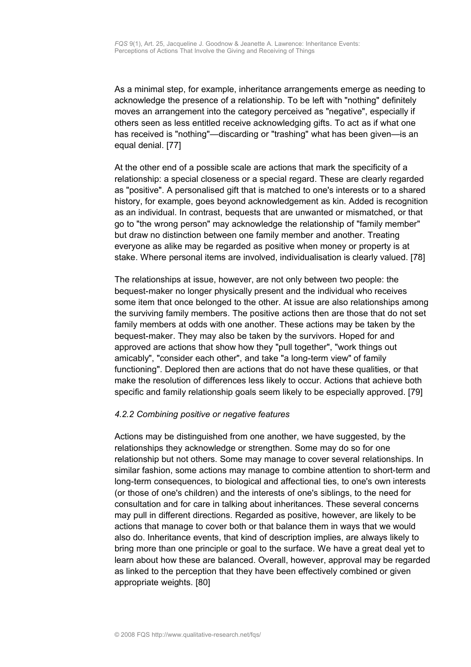As a minimal step, for example, inheritance arrangements emerge as needing to acknowledge the presence of a relationship. To be left with "nothing" definitely moves an arrangement into the category perceived as "negative", especially if others seen as less entitled receive acknowledging gifts. To act as if what one has received is "nothing"—discarding or "trashing" what has been given—is an equal denial. [77]

At the other end of a possible scale are actions that mark the specificity of a relationship: a special closeness or a special regard. These are clearly regarded as "positive". A personalised gift that is matched to one's interests or to a shared history, for example, goes beyond acknowledgement as kin. Added is recognition as an individual. In contrast, bequests that are unwanted or mismatched, or that go to "the wrong person" may acknowledge the relationship of "family member" but draw no distinction between one family member and another. Treating everyone as alike may be regarded as positive when money or property is at stake. Where personal items are involved, individualisation is clearly valued. [78]

The relationships at issue, however, are not only between two people: the bequest-maker no longer physically present and the individual who receives some item that once belonged to the other. At issue are also relationships among the surviving family members. The positive actions then are those that do not set family members at odds with one another. These actions may be taken by the bequest-maker. They may also be taken by the survivors. Hoped for and approved are actions that show how they "pull together", "work things out amicably", "consider each other", and take "a long-term view" of family functioning". Deplored then are actions that do not have these qualities, or that make the resolution of differences less likely to occur. Actions that achieve both specific and family relationship goals seem likely to be especially approved. [79]

#### *4.2.2 Combining positive or negative features*

Actions may be distinguished from one another, we have suggested, by the relationships they acknowledge or strengthen. Some may do so for one relationship but not others. Some may manage to cover several relationships. In similar fashion, some actions may manage to combine attention to short-term and long-term consequences, to biological and affectional ties, to one's own interests (or those of one's children) and the interests of one's siblings, to the need for consultation and for care in talking about inheritances. These several concerns may pull in different directions. Regarded as positive, however, are likely to be actions that manage to cover both or that balance them in ways that we would also do. Inheritance events, that kind of description implies, are always likely to bring more than one principle or goal to the surface. We have a great deal yet to learn about how these are balanced. Overall, however, approval may be regarded as linked to the perception that they have been effectively combined or given appropriate weights. [80]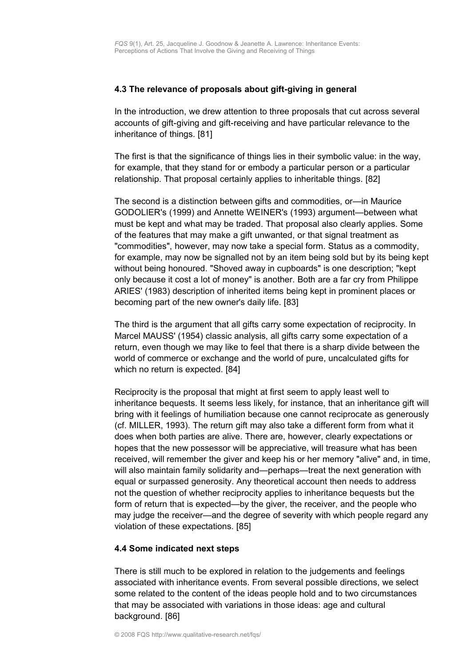#### **4.3 The relevance of proposals about gift-giving in general**

In the introduction, we drew attention to three proposals that cut across several accounts of gift-giving and gift-receiving and have particular relevance to the inheritance of things. [81]

The first is that the significance of things lies in their symbolic value: in the way, for example, that they stand for or embody a particular person or a particular relationship. That proposal certainly applies to inheritable things. [82]

The second is a distinction between gifts and commodities, or—in Maurice GODOLIER's (1999) and Annette WEINER's (1993) argument—between what must be kept and what may be traded. That proposal also clearly applies. Some of the features that may make a gift unwanted, or that signal treatment as "commodities", however, may now take a special form. Status as a commodity, for example, may now be signalled not by an item being sold but by its being kept without being honoured. "Shoved away in cupboards" is one description; "kept only because it cost a lot of money" is another. Both are a far cry from Philippe ARIES' (1983) description of inherited items being kept in prominent places or becoming part of the new owner's daily life. [83]

The third is the argument that all gifts carry some expectation of reciprocity. In Marcel MAUSS' (1954) classic analysis, all gifts carry some expectation of a return, even though we may like to feel that there is a sharp divide between the world of commerce or exchange and the world of pure, uncalculated gifts for which no return is expected. [84]

Reciprocity is the proposal that might at first seem to apply least well to inheritance bequests. It seems less likely, for instance, that an inheritance gift will bring with it feelings of humiliation because one cannot reciprocate as generously (cf. MILLER, 1993). The return gift may also take a different form from what it does when both parties are alive. There are, however, clearly expectations or hopes that the new possessor will be appreciative, will treasure what has been received, will remember the giver and keep his or her memory "alive" and, in time, will also maintain family solidarity and—perhaps—treat the next generation with equal or surpassed generosity. Any theoretical account then needs to address not the question of whether reciprocity applies to inheritance bequests but the form of return that is expected—by the giver, the receiver, and the people who may judge the receiver—and the degree of severity with which people regard any violation of these expectations. [85]

#### <span id="page-18-0"></span>**4.4 Some indicated next steps**

There is still much to be explored in relation to the judgements and feelings associated with inheritance events. From several possible directions, we select some related to the content of the ideas people hold and to two circumstances that may be associated with variations in those ideas: age and cultural background. [86]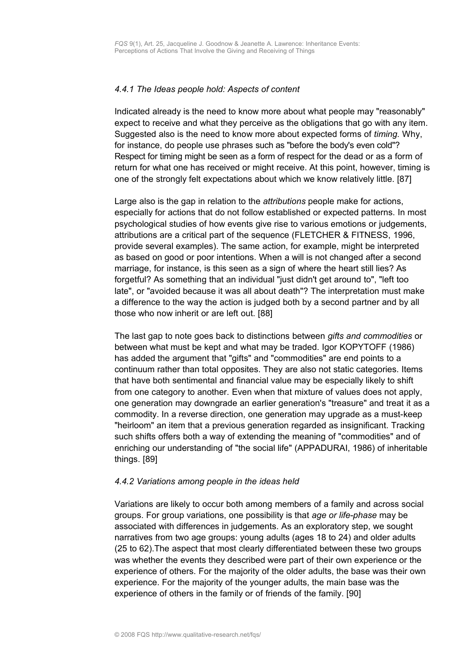#### *4.4.1 The Ideas people hold: Aspects of content*

Indicated already is the need to know more about what people may "reasonably" expect to receive and what they perceive as the obligations that go with any item. Suggested also is the need to know more about expected forms of *timing.* Why, for instance, do people use phrases such as "before the body's even cold"? Respect for timing might be seen as a form of respect for the dead or as a form of return for what one has received or might receive. At this point, however, timing is one of the strongly felt expectations about which we know relatively little. [87]

Large also is the gap in relation to the *attributions* people make for actions, especially for actions that do not follow established or expected patterns. In most psychological studies of how events give rise to various emotions or judgements, attributions are a critical part of the sequence (FLETCHER & FITNESS, 1996, provide several examples). The same action, for example, might be interpreted as based on good or poor intentions. When a will is not changed after a second marriage, for instance, is this seen as a sign of where the heart still lies? As forgetful? As something that an individual "just didn't get around to", "left too late", or "avoided because it was all about death"? The interpretation must make a difference to the way the action is judged both by a second partner and by all those who now inherit or are left out. [88]

The last gap to note goes back to distinctions between *gifts and commodities* or between what must be kept and what may be traded. Igor KOPYTOFF (1986) has added the argument that "gifts" and "commodities" are end points to a continuum rather than total opposites. They are also not static categories. Items that have both sentimental and financial value may be especially likely to shift from one category to another. Even when that mixture of values does not apply, one generation may downgrade an earlier generation's "treasure" and treat it as a commodity. In a reverse direction, one generation may upgrade as a must-keep "heirloom" an item that a previous generation regarded as insignificant. Tracking such shifts offers both a way of extending the meaning of "commodities" and of enriching our understanding of "the social life" (APPADURAI, 1986) of inheritable things. [89]

#### *4.4.2 Variations among people in the ideas held*

Variations are likely to occur both among members of a family and across social groups. For group variations, one possibility is that *age or life-phase* may be associated with differences in judgements. As an exploratory step, we sought narratives from two age groups: young adults (ages 18 to 24) and older adults (25 to 62).The aspect that most clearly differentiated between these two groups was whether the events they described were part of their own experience or the experience of others. For the majority of the older adults, the base was their own experience. For the majority of the younger adults, the main base was the experience of others in the family or of friends of the family. [90]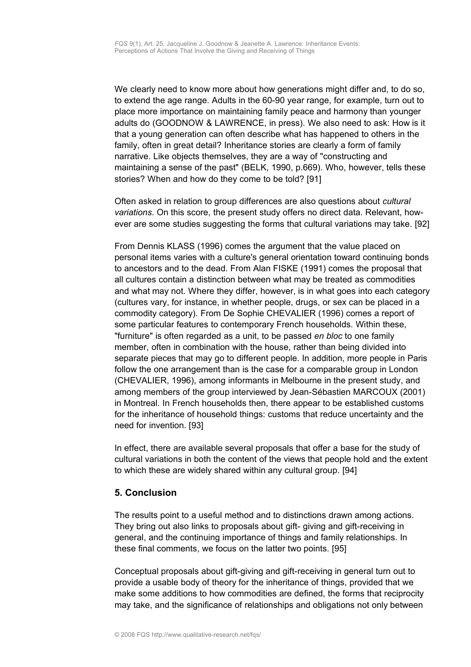We clearly need to know more about how generations might differ and, to do so, to extend the age range. Adults in the 60-90 year range, for example, turn out to place more importance on maintaining family peace and harmony than younger adults do (GOODNOW & LAWRENCE, in press). We also need to ask: How is it that a young generation can often describe what has happened to others in the family, often in great detail? Inheritance stories are clearly a form of family narrative. Like objects themselves, they are a way of "constructing and maintaining a sense of the past" (BELK, 1990, p.669). Who, however, tells these stories? When and how do they come to be told? [91]

Often asked in relation to group differences are also questions about *cultural variations*. On this score, the present study offers no direct data. Relevant, however are some studies suggesting the forms that cultural variations may take. [92]

From Dennis KLASS (1996) comes the argument that the value placed on personal items varies with a culture's general orientation toward continuing bonds to ancestors and to the dead. From Alan FISKE (1991) comes the proposal that all cultures contain a distinction between what may be treated as commodities and what may not. Where they differ, however, is in what goes into each category (cultures vary, for instance, in whether people, drugs, or sex can be placed in a commodity category). From De Sophie CHEVALIER (1996) comes a report of some particular features to contemporary French households. Within these, "furniture" is often regarded as a unit, to be passed *en bloc* to one family member, often in combination with the house, rather than being divided into separate pieces that may go to different people. In addition, more people in Paris follow the one arrangement than is the case for a comparable group in London (CHEVALIER, 1996), among informants in Melbourne in the present study, and among members of the group interviewed by Jean-Sébastien MARCOUX (2001) in Montreal. In French households then, there appear to be established customs for the inheritance of household things: customs that reduce uncertainty and the need for invention. [93]

In effect, there are available several proposals that offer a base for the study of cultural variations in both the content of the views that people hold and the extent to which these are widely shared within any cultural group. [94]

## <span id="page-20-0"></span>**5. Conclusion**

The results point to a useful method and to distinctions drawn among actions. They bring out also links to proposals about gift- giving and gift-receiving in general, and the continuing importance of things and family relationships. In these final comments, we focus on the latter two points. [95]

Conceptual proposals about gift-giving and gift-receiving in general turn out to provide a usable body of theory for the inheritance of things, provided that we make some additions to how commodities are defined, the forms that reciprocity may take, and the significance of relationships and obligations not only between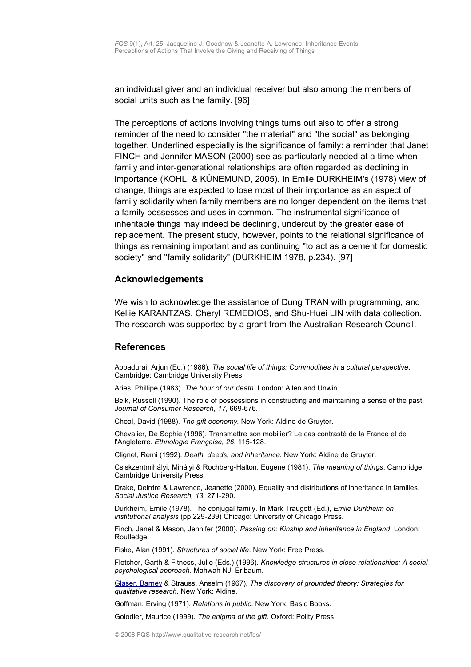an individual giver and an individual receiver but also among the members of social units such as the family. [96]

The perceptions of actions involving things turns out also to offer a strong reminder of the need to consider "the material" and "the social" as belonging together. Underlined especially is the significance of family: a reminder that Janet FINCH and Jennifer MASON (2000) see as particularly needed at a time when family and inter-generational relationships are often regarded as declining in importance (KOHLI & KÜNEMUND, 2005). In Emile DURKHEIM's (1978) view of change, things are expected to lose most of their importance as an aspect of family solidarity when family members are no longer dependent on the items that a family possesses and uses in common. The instrumental significance of inheritable things may indeed be declining, undercut by the greater ease of replacement. The present study, however, points to the relational significance of things as remaining important and as continuing "to act as a cement for domestic society" and "family solidarity" (DURKHEIM 1978, p.234). [97]

#### **Acknowledgements**

We wish to acknowledge the assistance of Dung TRAN with programming, and Kellie KARANTZAS, Cheryl REMEDIOS, and Shu-Huei LIN with data collection. The research was supported by a grant from the Australian Research Council.

#### <span id="page-21-0"></span>**References**

Appadurai, Arjun (Ed.) (1986). *The social life of things: Commodities in a cultural perspective*. Cambridge: Cambridge University Press.

Aries, Phillipe (1983). *The hour of our death.* London: Allen and Unwin.

Belk, Russell (1990). The role of possessions in constructing and maintaining a sense of the past. *Journal of Consumer Research*, *17*, 669-676.

Cheal, David (1988). *The gift economy.* New York: Aldine de Gruyter.

Chevalier, De Sophie (1996). Transmettre son mobilier? Le cas contrasté de la France et de l'Angleterre. *Ethnologie Française, 26*, 115-128*.*

Clignet, Remi (1992). *Death, deeds, and inheritance.* New York: Aldine de Gruyter.

Csiskzentmihályi, Mihályi & Rochberg-Halton, Eugene (1981). *The meaning of things*. Cambridge: Cambridge University Press.

Drake, Deirdre & Lawrence, Jeanette (2000). Equality and distributions of inheritance in families. *Social Justice Research, 13*, 271-290.

Durkheim, Emile (1978). The conjugal family. In Mark Traugott (Ed.), *Emile Durkheim on institutional analysis* (pp.229-239) Chicago: University of Chicago Press.

Finch, Janet & Mason, Jennifer (2000). *Passing on: Kinship and inheritance in England*. London: Routledge.

Fiske, Alan (1991). *Structures of social life*. New York: Free Press.

Fletcher, Garth & Fitness, Julie (Eds.) (1996). *Knowledge structures in close relationships: A social psychological approach*. Mahwah NJ: Erlbaum.

Glaser, [Barney](http://www.qualitative-research.net/fqs/beirat/glaser-e.htm) & Strauss, Anselm (1967). *The discovery of grounded theory: Strategies for qualitative research.* New York: Aldine.

Goffman, Erving (1971). *Relations in public*. New York: Basic Books.

Golodier, Maurice (1999). *The enigma of the gift*. Oxford: Polity Press.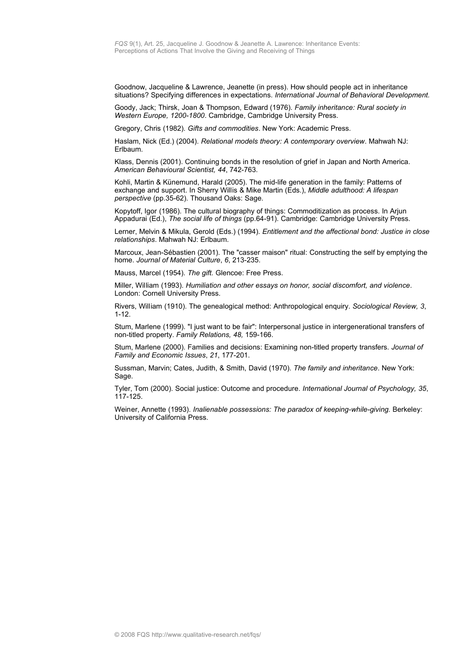Goodnow, Jacqueline & Lawrence, Jeanette (in press). How should people act in inheritance situations? Specifying differences in expectations. *International Journal of Behavioral Development.*

Goody, Jack; Thirsk, Joan & Thompson, Edward (1976). *Family inheritance: Rural society in Western Europe, 1200-1800*. Cambridge, Cambridge University Press.

Gregory, Chris (1982). *Gifts and commodities*. New York: Academic Press.

Haslam, Nick (Ed.) (2004). *Relational models theory: A contemporary overview*. Mahwah NJ: Erlbaum.

Klass, Dennis (2001). Continuing bonds in the resolution of grief in Japan and North America. *American Behavioural Scientist, 44*, 742-763.

Kohli, Martin & Künemund, Harald (2005). The mid-life generation in the family: Patterns of exchange and support. In Sherry Willis & Mike Martin (Eds.), *Middle adulthood: A lifespan perspective* (pp.35-62). Thousand Oaks: Sage.

Kopytoff, Igor (1986). The cultural biography of things: Commoditization as process. In Arjun Appadurai (Ed.), *The social life of things* (pp.64-91). Cambridge: Cambridge University Press.

Lerner, Melvin & Mikula, Gerold (Eds.) (1994). *Entitlement and the affectional bond: Justice in close relationships*. Mahwah NJ: Erlbaum.

Marcoux, Jean-Sébastien (2001). The "casser maison" ritual: Constructing the self by emptying the home. *Journal of Material Culture*, *6*, 213-235.

Mauss, Marcel (1954). *The gift.* Glencoe: Free Press.

Miller, William (1993). *Humiliation and other essays on honor, social discomfort, and violence*. London: Cornell University Press.

Rivers, William (1910). The genealogical method: Anthropological enquiry. *Sociological Review, 3*, 1-12.

Stum, Marlene (1999). "I just want to be fair": Interpersonal justice in intergenerational transfers of non-titled property. *Family Relations, 48,* 159-166.

Stum, Marlene (2000). Families and decisions: Examining non-titled property transfers. *Journal of Family and Economic Issues*, *21*, 177-201.

Sussman, Marvin; Cates, Judith, & Smith, David (1970). *The family and inheritance*. New York: Sage.

Tyler, Tom (2000). Social justice: Outcome and procedure. *International Journal of Psychology, 35*, 117-125.

Weiner, Annette (1993). *Inalienable possessions: The paradox of keeping-while-giving.* Berkeley: University of California Press.